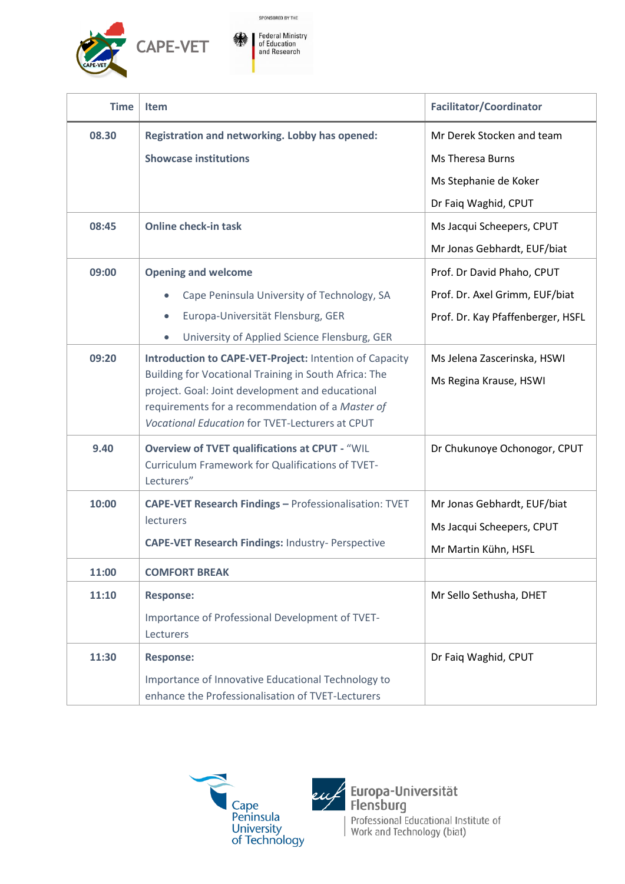

| <b>Time</b> | <b>Item</b>                                                                                                                                                                                                                                                                        | <b>Facilitator/Coordinator</b>                        |
|-------------|------------------------------------------------------------------------------------------------------------------------------------------------------------------------------------------------------------------------------------------------------------------------------------|-------------------------------------------------------|
| 08.30       | <b>Registration and networking. Lobby has opened:</b>                                                                                                                                                                                                                              | Mr Derek Stocken and team                             |
|             | <b>Showcase institutions</b>                                                                                                                                                                                                                                                       | <b>Ms Theresa Burns</b>                               |
|             |                                                                                                                                                                                                                                                                                    | Ms Stephanie de Koker                                 |
|             |                                                                                                                                                                                                                                                                                    | Dr Faiq Waghid, CPUT                                  |
| 08:45       | <b>Online check-in task</b>                                                                                                                                                                                                                                                        | Ms Jacqui Scheepers, CPUT                             |
|             |                                                                                                                                                                                                                                                                                    | Mr Jonas Gebhardt, EUF/biat                           |
| 09:00       | <b>Opening and welcome</b>                                                                                                                                                                                                                                                         | Prof. Dr David Phaho, CPUT                            |
|             | Cape Peninsula University of Technology, SA                                                                                                                                                                                                                                        | Prof. Dr. Axel Grimm, EUF/biat                        |
|             | Europa-Universität Flensburg, GER<br>$\bullet$                                                                                                                                                                                                                                     | Prof. Dr. Kay Pfaffenberger, HSFL                     |
|             | University of Applied Science Flensburg, GER<br>$\bullet$                                                                                                                                                                                                                          |                                                       |
| 09:20       | Introduction to CAPE-VET-Project: Intention of Capacity<br>Building for Vocational Training in South Africa: The<br>project. Goal: Joint development and educational<br>requirements for a recommendation of a Master of<br><b>Vocational Education for TVET-Lecturers at CPUT</b> | Ms Jelena Zascerinska, HSWI<br>Ms Regina Krause, HSWI |
| 9.40        | <b>Overview of TVET qualifications at CPUT - "WIL</b><br><b>Curriculum Framework for Qualifications of TVET-</b><br>Lecturers"                                                                                                                                                     | Dr Chukunoye Ochonogor, CPUT                          |
| 10:00       | CAPE-VET Research Findings - Professionalisation: TVET                                                                                                                                                                                                                             | Mr Jonas Gebhardt, EUF/biat                           |
|             | lecturers                                                                                                                                                                                                                                                                          | Ms Jacqui Scheepers, CPUT                             |
|             | <b>CAPE-VET Research Findings: Industry- Perspective</b>                                                                                                                                                                                                                           | Mr Martin Kühn, HSFL                                  |
| 11:00       | <b>COMFORT BREAK</b>                                                                                                                                                                                                                                                               |                                                       |
| 11:10       | <b>Response:</b>                                                                                                                                                                                                                                                                   | Mr Sello Sethusha, DHET                               |
|             | Importance of Professional Development of TVET-<br>Lecturers                                                                                                                                                                                                                       |                                                       |
| 11:30       | <b>Response:</b>                                                                                                                                                                                                                                                                   | Dr Faiq Waghid, CPUT                                  |
|             | Importance of Innovative Educational Technology to<br>enhance the Professionalisation of TVET-Lecturers                                                                                                                                                                            |                                                       |





e*u f* Europa-Universität<br>Flensburg Professional Educational Institute of<br>Work and Technology (biat)